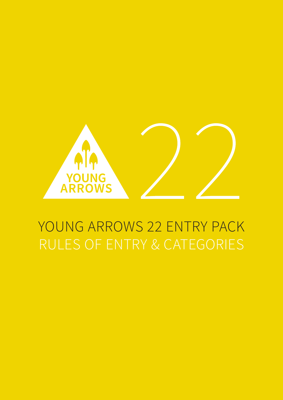

# YOUNG ARROWS 22 ENTRY PACK RULES OF ENTRY & CATEGORIES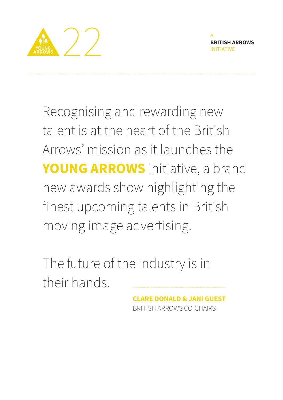

A **BRITISH ARROWS** INITIATIVE

Recognising and rewarding new talent is at the heart of the British Arrows' mission as it launches the **YOUNG ARROWS** initiative, a brand new awards show highlighting the finest upcoming talents in British moving image advertising.

The future of the industry is in their hands.

> **CLARE DONALD & JANI GUEST** BRITISH ARROWS CO-CHAIRS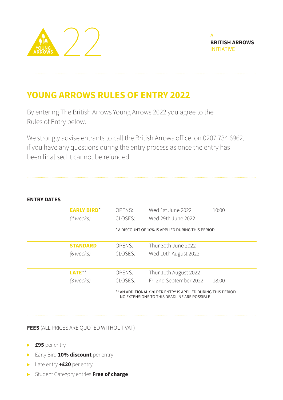



# **YOUNG ARROWS RULES OF ENTRY 2022**

By entering The British Arrows Young Arrows 2022 you agree to the Rules of Entry below.

We strongly advise entrants to call the British Arrows office, on 0207 734 6962, if you have any questions during the entry process as once the entry has been finalised it cannot be refunded.

# **ENTRY DATES**

| <b>EARLY BIRD*</b><br>(4 weeks) | <b>OPENS:</b><br>CLOSES:                                                                                    | Wed 1st June 2022<br>Wed 29th June 2022 | 10:00 |
|---------------------------------|-------------------------------------------------------------------------------------------------------------|-----------------------------------------|-------|
|                                 | * A DISCOUNT OF 10% IS APPLIED DURING THIS PERIOD                                                           |                                         |       |
| <b>STANDARD</b>                 | OPENS:                                                                                                      | Thur 30th June 2022                     |       |
| (6 weeks)                       | CLOSES:                                                                                                     | Wed 10th August 2022                    |       |
| LATE**                          | <b>OPENS:</b>                                                                                               | Thur 11th August 2022                   |       |
| (3 weeks)                       | CLOSES:                                                                                                     | Fri 2nd September 2022                  | 18:00 |
|                                 | ** AN ADDITIONAL £20 PER ENTRY IS APPLIED DURING THIS PERIOD<br>NO EXTENSIONS TO THIS DEADLINE ARE POSSIBLE |                                         |       |

**FEES** (ALL PRICES ARE QUOTED WITHOUT VAT)

- **£95** per entry
- **Early Bird 10% discount** per entry
- Late entry **+£20** per entry
- Student Category entries **Free of charge**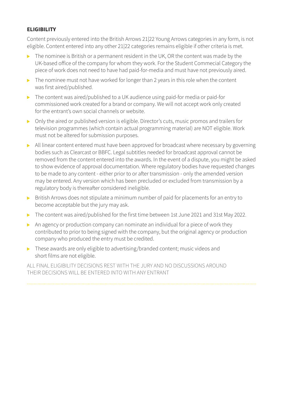# **ELIGIBILITY**

Content previously entered into the British Arrows 21|22 Young Arrows categories in any form, is not eligible. Content entered into any other 21|22 categories remains eligible if other criteria is met.

- $\triangleright$  The nominee is British or a permanent resident in the UK, OR the content was made by the UK-based office of the company for whom they work. For the Student Commecial Category the piece of work does not need to have had paid-for-media and must have not previously aired.
- $\triangleright$  The nominee must not have worked for longer than 2 years in this role when the content was first aired/published.
- ▶ The content was aired/published to a UK audience using paid-for media or paid-for commissioned work created for a brand or company. We will not accept work only created for the entrant's own social channels or website.
- Only the aired or published version is eligible. Director's cuts, music promos and trailers for television programmes (which contain actual programming material) are NOT eligible. Work must not be altered for submission purposes.
- All linear content entered must have been approved for broadcast where necessary by governing bodies such as Clearcast or BBFC. Legal subtitles needed for broadcast approval cannot be removed from the content entered into the awards. In the event of a dispute, you might be asked to show evidence of approval documentation. Where regulatory bodies have requested changes to be made to any content - either prior to or after transmission - only the amended version may be entered. Any version which has been precluded or excluded from transmission by a regulatory body is thereafter considered ineligible.
- British Arrows does not stipulate a minimum number of paid for placements for an entry to become acceptable but the jury may ask.
- The content was aired/published for the first time between 1st June 2021 and 31st May 2022.
- An agency or production company can nominate an individual for a piece of work they contributed to prior to being signed with the company, but the original agency or production company who produced the entry must be credited.
- ▶ These awards are only eligible to advertising/branded content; music videos and short films are not eligible.

ALL FINAL ELIGIBILITY DECISIONS REST WITH THE JURY AND NO DISCUSSIONS AROUND THEIR DECISIONS WILL BE ENTERED INTO WITH ANY ENTRANT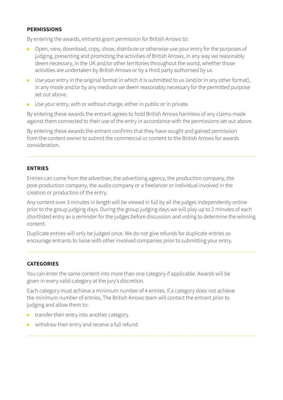#### **PERMISSIONS**

By entering the awards, entrants grant permission for British Arrows to:

- ▶ Open, view, download, copy, show, distribute or otherwise use your entry for the purposes of judging, presenting and promoting the activities of British Arrows, in any way we reasonably deem necessary, in the UK and/or other territories throughout the world, whether those activities are undertaken by British Arrows or by a third party authorised by us.
- $\triangleright$  Use your entry in the original format in which it is submitted to us (and/or in any other format), in any mode and/or by any medium we deem reasonably necessary for the permitted purpose set out above.
- $\triangleright$  Use your entry, with or without charge, either in public or in private.

By entering these awards the entrant agrees to hold British Arrows harmless of any claims made against them connected to their use of the entry in accordance with the permissions set out above.

By entering these awards the entrant confirms that they have sought and gained permission from the content owner to submit the commercial or content to the British Arrows for awards consideration.

# **ENTRIES**

Entries can come from the advertiser, the advertising agency, the production company, the post-production company, the audio company or a freelancer or individual involved in the creation or production of the entry.

Any content over 3 minutes in length will be viewed in full by all the judges independently online prior to the group judging days. During the group judging days we will play up to 2 minutes of each shortlisted entry as a reminder for the judges before discussion and voting to determine the winning content.

Duplicate entries will only be judged once. We do not give refunds for duplicate entries so encourage entrants to liaise with other involved companies prior to submitting your entry.

# **CATEGORIES**

You can enter the same content into more than one category if applicable. Awards will be given in every valid category at the jury's discretion.

Each category must achieve a minimum number of 4 entries. If a category does not achieve the minimum number of entries, The British Arrows team will contact the entrant prior to judging and allow them to:

- $\triangleright$  transfer their entry into another category.
- $\triangleright$  withdraw their entry and receive a full refund.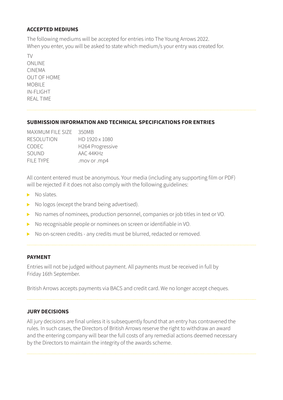#### **ACCEPTED MEDIUMS**

The following mediums will be accepted for entries into The Young Arrows 2022. When you enter, you will be asked to state which medium/s your entry was created for.

TV ONLINE CINEMA OUT OF HOME MOBILE<sub></sub> IN-FLIGHT REAL TIME

# **SUBMISSION INFORMATION AND TECHNICAL SPECIFICATIONS FOR ENTRIES**

| MAXIMUM FILE SIZE | 350MB            |
|-------------------|------------------|
| <b>RESOLUTION</b> | HD 1920 x 1080   |
| <b>CODEC</b>      | H264 Progressive |
| SOUND             | AAC 44KHz        |
| FII F TYPF        | .mov or .mp4     |

All content entered must be anonymous. Your media (including any supporting film or PDF) will be rejected if it does not also comply with the following guidelines:

- $\triangleright$  No slates.
- $\triangleright$  No logos (except the brand being advertised).
- ▶ No names of nominees, production personnel, companies or job titles in text or VO.
- No recognisable people or nominees on screen or identifiable in VO.
- ▶ No on-screen credits any credits must be blurred, redacted or removed.

#### **PAYMENT**

Entries will not be judged without payment. All payments must be received in full by Friday 16th September.

British Arrows accepts payments via BACS and credit card. We no longer accept cheques.

# **JURY DECISIONS**

All jury decisions are final unless it is subsequently found that an entry has contravened the rules. In such cases, the Directors of British Arrows reserve the right to withdraw an award and the entering company will bear the full costs of any remedial actions deemed necessary by the Directors to maintain the integrity of the awards scheme.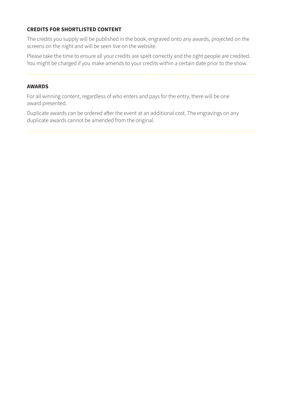# **CREDITS FOR SHORTLISTED CONTENT**

The credits you supply will be published in the book, engraved onto any awards, projected on the screens on the night and will be seen live on the website.

Please take the time to ensure all your credits are spelt correctly and the right people are credited. You might be charged if you make amends to your credits within a certain date prior to the show.

#### **AWARDS**

For all winning content, regardless of who enters and pays for the entry, there will be one award presented.

Duplicate awards can be ordered after the event at an additional cost. The engravings on any duplicate awards cannot be amended from the original.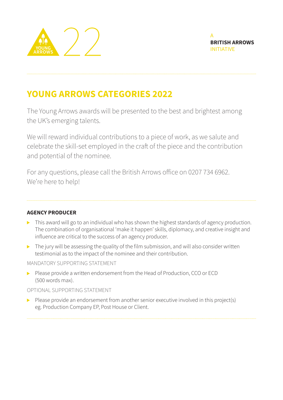



# **YOUNG ARROWS CATEGORIES 2022**

The Young Arrows awards will be presented to the best and brightest among the UK's emerging talents.

We will reward individual contributions to a piece of work, as we salute and celebrate the skill-set employed in the craft of the piece and the contribution and potential of the nominee.

For any questions, please call the British Arrows office on 0207 734 6962. We're here to help!

# **AGENCY PRODUCER**

- This award will go to an individual who has shown the highest standards of agency production. The combination of organisational 'make it happen' skills, diplomacy, and creative insight and influence are critical to the success of an agency producer.
- $\triangleright$  The jury will be assessing the quality of the film submission, and will also consider written testimonial as to the impact of the nominee and their contribution.

MANDATORY SUPPORTING STATEMENT

Please provide a written endorsement from the Head of Production, CCO or ECD (500 words max).

# OPTIONAL SUPPORTING STATEMENT

 $\triangleright$  Please provide an endorsement from another senior executive involved in this project(s) eg. Production Company EP, Post House or Client.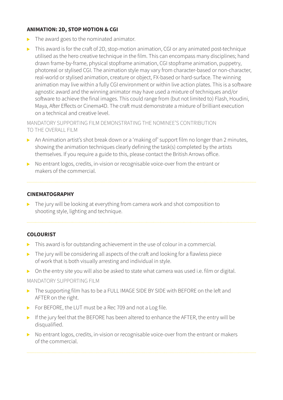# **ANIMATION: 2D, STOP MOTION & CGI**

- $\triangleright$  The award goes to the nominated animator.
- This award is for the craft of 2D, stop-motion animation, CGI or any animated post-technique utilised as the hero creative technique in the film. This can encompass many disciplines; hand drawn frame-by-frame, physical stopframe animation, CGI stopframe animation, puppetry, photoreal or stylised CGI. The animation style may vary from character-based or non-character, real-world or stylised animation, creature or object, FX-based or hard-surface. The winning animation may live within a fully CGI environment or within live action plates. This is a software agnostic award and the winning animator may have used a mixture of techniques and/or software to achieve the final images. This could range from (but not limited to) Flash, Houdini, Maya, After Effects or Cinema4D. The craft must demonstrate a mixture of brilliant execution on a technical and creative level.

MANDATORY SUPPORTING FILM DEMONSTRATING THE NOMINEE'S CONTRIBUTION TO THE OVERALL FILM

- An Animation artist's shot break down or a 'making of' support film no longer than 2 minutes, showing the animation techniques clearly defining the task(s) completed by the artists themselves. If you require a guide to this, please contact the British Arrows office.
- ▶ No entrant logos, credits, in-vision or recognisable voice-over from the entrant or makers of the commercial.

#### **CINEMATOGRAPHY**

▶ The jury will be looking at everything from camera work and shot composition to shooting style, lighting and technique.

# **COLOURIST**

- $\triangleright$  This award is for outstanding achievement in the use of colour in a commercial.
- $\triangleright$  The jury will be considering all aspects of the craft and looking for a flawless piece of work that is both visually arresting and individual in style.
- On the entry site you will also be asked to state what camera was used i.e. film or digital.

#### MANDATORY SUPPORTING FILM

- The supporting film has to be a FULL IMAGE SIDE BY SIDE with BEFORE on the left and AFTER on the right.
- For BEFORE, the LUT must be a Rec 709 and not a Log file.
- If the jury feel that the BEFORE has been altered to enhance the AFTER, the entry will be disqualified.
- ▶ No entrant logos, credits, in-vision or recognisable voice-over from the entrant or makers of the commercial.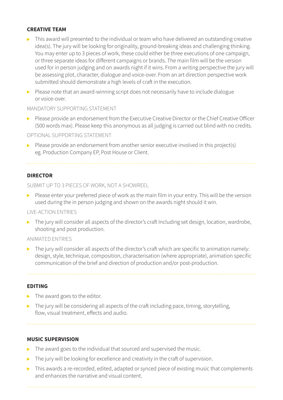#### **CREATIVE TEAM**

- This award will presented to the individual or team who have delivered an outstanding creative idea(s). The jury will be looking for originality, ground-breaking ideas and challenging thinking. You may enter up to 3 pieces of work, these could either be three executions of one campaign, or three separate ideas for different campaigns or brands. The main film will be the version used for in person judging and on awards night if it wins. From a writing perspective the jury will be assessing plot, character, dialogue and voice-over. From an art direction perspective work submitted should demonstrate a high levels of craft in the execution.
- $\triangleright$  Please note that an award-winning script does not necessarily have to include dialogue or voice-over.

#### MANDATORY SUPPORTING STATEMENT

Please provide an endorsement from the Executive Creative Director or the Chief Creative Officer (500 words max). Please keep this anonymous as all judging is carried out blind with no credits.

#### OPTIONAL SUPPORTING STATEMENT

 $\triangleright$  Please provide an endorsement from another senior executive involved in this project(s) eg. Production Company EP, Post House or Client.

#### **DIRECTOR**

SUBMIT UP TO 3 PIECES OF WORK, NOT A SHOWREEL

 $\triangleright$  Please enter your preferred piece of work as the main film in your entry. This will be the version used during the in person judging and shown on the awards night should it win.

#### LIVE-ACTION ENTRIES

The jury will consider all aspects of the director's craft Including set design, location, wardrobe, shooting and post production.

#### ANIMATED ENTRIES

 $\blacktriangleright$  The jury will consider all aspects of the director's craft which are specific to animation namely: design, style, technique, composition, characterisation (where appropriate), animation specific communication of the brief and direction of production and/or post-production.

#### **EDITING**

- $\blacktriangleright$  The award goes to the editor.
- $\triangleright$  The jury will be considering all aspects of the craft including pace, timing, storytelling, flow, visual treatment, effects and audio.

#### **MUSIC SUPERVISION**

- The award goes to the individual that sourced and supervised the music.
- The jury will be looking for excellence and creativity in the craft of supervision.  $\blacktriangleright$
- This awards a re-recorded, edited, adapted or synced piece of existing music that complements and enhances the narrative and visual content.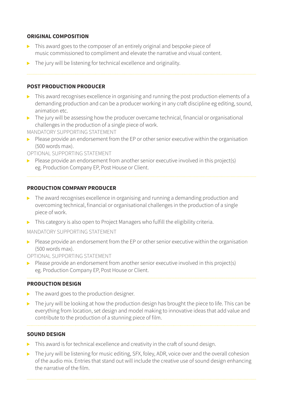# **ORIGINAL COMPOSITION**

- $\triangleright$  This award goes to the composer of an entirely original and bespoke piece of music commissioned to compliment and elevate the narrative and visual content.
- $\triangleright$  The jury will be listening for technical excellence and originality.

# **POST PRODUCTION PRODUCER**

- $\triangleright$  This award recognises excellence in organising and running the post production elements of a demanding production and can be a producer working in any craft discipline eg editing, sound, animation etc.
- $\triangleright$  The jury will be assessing how the producer overcame technical, financial or organisational challenges in the production of a single piece of work.

MANDATORY SUPPORTING STATEMENT

Please provide an endorsement from the EP or other senior executive within the organisation (500 words max).

OPTIONAL SUPPORTING STATEMENT

 $\triangleright$  Please provide an endorsement from another senior executive involved in this project(s) eg. Production Company EP, Post House or Client.

# **PRODUCTION COMPANY PRODUCER**

- $\triangleright$  The award recognises excellence in organising and running a demanding production and overcoming technical, financial or organisational challenges in the production of a single piece of work.
- **This category is also open to Project Managers who fulfill the eligibility criteria.**

# MANDATORY SUPPORTING STATEMENT

 $\triangleright$  Please provide an endorsement from the EP or other senior executive within the organisation (500 words max).

OPTIONAL SUPPORTING STATEMENT

 $\triangleright$  Please provide an endorsement from another senior executive involved in this project(s) eg. Production Company EP, Post House or Client.

# **PRODUCTION DESIGN**

- $\blacktriangleright$  The award goes to the production designer.
- The jury will be looking at how the production design has brought the piece to life. This can be everything from location, set design and model making to innovative ideas that add value and contribute to the production of a stunning piece of film.

# **SOUND DESIGN**

- $\triangleright$  This award is for technical excellence and creativity in the craft of sound design.
- ▶ The jury will be listening for music editing, SFX, foley, ADR, voice over and the overall cohesion of the audio mix. Entries that stand out will include the creative use of sound design enhancing the narrative of the film.